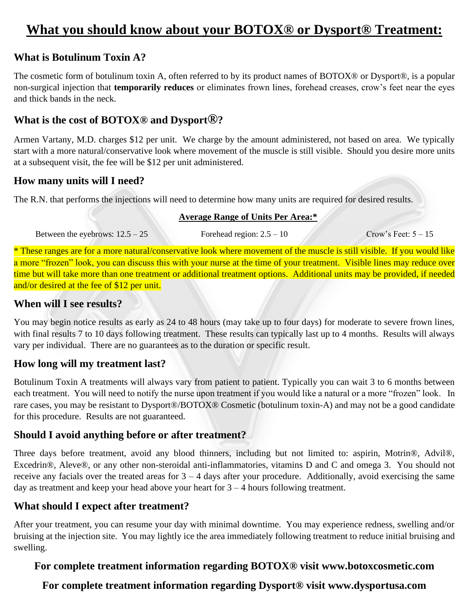## **What you should know about your BOTOX® or Dysport® Treatment:**

## **What is Botulinum Toxin A?**

The cosmetic form of botulinum toxin A, often referred to by its product names of BOTOX® or Dysport®, is a popular non-surgical injection that **temporarily reduces** or eliminates frown lines, forehead creases, crow's feet near the eyes and thick bands in the neck.

## **What is the cost of BOTOX® and Dysport®?**

Armen Vartany, M.D. charges \$12 per unit. We charge by the amount administered, not based on area. We typically start with a more natural/conservative look where movement of the muscle is still visible. Should you desire more units at a subsequent visit, the fee will be \$12 per unit administered.

## **How many units will I need?**

The R.N. that performs the injections will need to determine how many units are required for desired results.

#### **Average Range of Units Per Area:\***

Between the eyebrows:  $12.5 - 25$  Forehead region:  $2.5 - 10$  Crow's Feet:  $5 - 15$ 

\* These ranges are for a more natural/conservative look where movement of the muscle is still visible. If you would like a more "frozen" look, you can discuss this with your nurse at the time of your treatment. Visible lines may reduce over time but will take more than one treatment or additional treatment options. Additional units may be provided, if needed and/or desired at the fee of \$12 per unit.

#### **When will I see results?**

You may begin notice results as early as 24 to 48 hours (may take up to four days) for moderate to severe frown lines, with final results 7 to 10 days following treatment. These results can typically last up to 4 months. Results will always vary per individual. There are no guarantees as to the duration or specific result.

## **How long will my treatment last?**

Botulinum Toxin A treatments will always vary from patient to patient. Typically you can wait 3 to 6 months between each treatment. You will need to notify the nurse upon treatment if you would like a natural or a more "frozen" look. In rare cases, you may be resistant to Dysport®/BOTOX® Cosmetic (botulinum toxin-A) and may not be a good candidate for this procedure. Results are not guaranteed.

## **Should I avoid anything before or after treatment?**

Three days before treatment, avoid any blood thinners, including but not limited to: aspirin, Motrin®, Advil®, Excedrin®, Aleve®, or any other non-steroidal anti-inflammatories, vitamins D and C and omega 3. You should not receive any facials over the treated areas for  $3 - 4$  days after your procedure. Additionally, avoid exercising the same day as treatment and keep your head above your heart for  $3 - 4$  hours following treatment.

## **What should I expect after treatment?**

After your treatment, you can resume your day with minimal downtime. You may experience redness, swelling and/or bruising at the injection site. You may lightly ice the area immediately following treatment to reduce initial bruising and swelling.

## **For complete treatment information regarding BOTOX® visit www.botoxcosmetic.com**

## **For complete treatment information regarding Dysport® visit www.dysportusa.com**